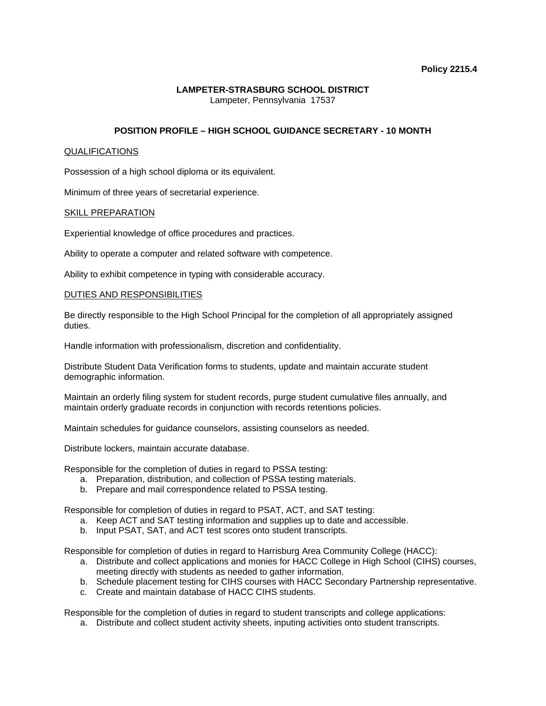#### **LAMPETER-STRASBURG SCHOOL DISTRICT**  Lampeter, Pennsylvania 17537

# **POSITION PROFILE – HIGH SCHOOL GUIDANCE SECRETARY - 10 MONTH**

#### QUALIFICATIONS

Possession of a high school diploma or its equivalent.

Minimum of three years of secretarial experience.

### SKILL PREPARATION

Experiential knowledge of office procedures and practices.

Ability to operate a computer and related software with competence.

Ability to exhibit competence in typing with considerable accuracy.

#### DUTIES AND RESPONSIBILITIES

Be directly responsible to the High School Principal for the completion of all appropriately assigned duties.

Handle information with professionalism, discretion and confidentiality.

Distribute Student Data Verification forms to students, update and maintain accurate student demographic information.

Maintain an orderly filing system for student records, purge student cumulative files annually, and maintain orderly graduate records in conjunction with records retentions policies.

Maintain schedules for guidance counselors, assisting counselors as needed.

Distribute lockers, maintain accurate database.

Responsible for the completion of duties in regard to PSSA testing:

- a. Preparation, distribution, and collection of PSSA testing materials.
- b. Prepare and mail correspondence related to PSSA testing.

Responsible for completion of duties in regard to PSAT, ACT, and SAT testing:

- a. Keep ACT and SAT testing information and supplies up to date and accessible.
- b. Input PSAT, SAT, and ACT test scores onto student transcripts.

Responsible for completion of duties in regard to Harrisburg Area Community College (HACC):

- a. Distribute and collect applications and monies for HACC College in High School (CIHS) courses, meeting directly with students as needed to gather information.
- b. Schedule placement testing for CIHS courses with HACC Secondary Partnership representative.
- c. Create and maintain database of HACC CIHS students.

Responsible for the completion of duties in regard to student transcripts and college applications:

a. Distribute and collect student activity sheets, inputing activities onto student transcripts.